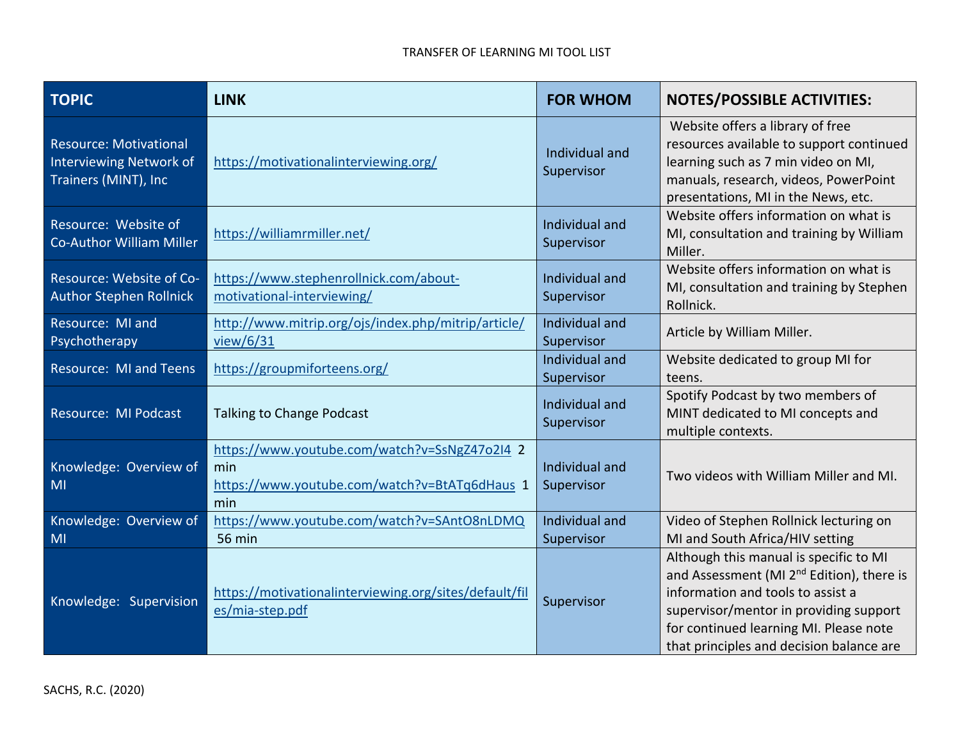| <b>TOPIC</b>                                                                            | <b>LINK</b>                                                                                                  | <b>FOR WHOM</b>              | <b>NOTES/POSSIBLE ACTIVITIES:</b>                                                                                                                                                                                                                                    |
|-----------------------------------------------------------------------------------------|--------------------------------------------------------------------------------------------------------------|------------------------------|----------------------------------------------------------------------------------------------------------------------------------------------------------------------------------------------------------------------------------------------------------------------|
| <b>Resource: Motivational</b><br><b>Interviewing Network of</b><br>Trainers (MINT), Inc | https://motivationalinterviewing.org/                                                                        | Individual and<br>Supervisor | Website offers a library of free<br>resources available to support continued<br>learning such as 7 min video on MI,<br>manuals, research, videos, PowerPoint<br>presentations, MI in the News, etc.                                                                  |
| Resource: Website of<br><b>Co-Author William Miller</b>                                 | https://williamrmiller.net/                                                                                  | Individual and<br>Supervisor | Website offers information on what is<br>MI, consultation and training by William<br>Miller.                                                                                                                                                                         |
| Resource: Website of Co-<br><b>Author Stephen Rollnick</b>                              | https://www.stephenrollnick.com/about-<br>motivational-interviewing/                                         | Individual and<br>Supervisor | Website offers information on what is<br>MI, consultation and training by Stephen<br>Rollnick.                                                                                                                                                                       |
| Resource: MI and<br>Psychotherapy                                                       | http://www.mitrip.org/ojs/index.php/mitrip/article/<br>view/ $6/31$                                          | Individual and<br>Supervisor | Article by William Miller.                                                                                                                                                                                                                                           |
| <b>Resource: MI and Teens</b>                                                           | https://groupmiforteens.org/                                                                                 | Individual and<br>Supervisor | Website dedicated to group MI for<br>teens.                                                                                                                                                                                                                          |
| Resource: MI Podcast                                                                    | <b>Talking to Change Podcast</b>                                                                             | Individual and<br>Supervisor | Spotify Podcast by two members of<br>MINT dedicated to MI concepts and<br>multiple contexts.                                                                                                                                                                         |
| Knowledge: Overview of<br>MI                                                            | https://www.youtube.com/watch?v=SsNgZ47o2I4 2<br>min<br>https://www.youtube.com/watch?v=BtATq6dHaus 1<br>min | Individual and<br>Supervisor | Two videos with William Miller and MI.                                                                                                                                                                                                                               |
| Knowledge: Overview of<br>MI                                                            | https://www.youtube.com/watch?v=SAntO8nLDMQ<br><b>56 min</b>                                                 | Individual and<br>Supervisor | Video of Stephen Rollnick lecturing on<br>MI and South Africa/HIV setting                                                                                                                                                                                            |
| Knowledge: Supervision                                                                  | https://motivationalinterviewing.org/sites/default/fil<br>es/mia-step.pdf                                    | Supervisor                   | Although this manual is specific to MI<br>and Assessment (MI 2 <sup>nd</sup> Edition), there is<br>information and tools to assist a<br>supervisor/mentor in providing support<br>for continued learning MI. Please note<br>that principles and decision balance are |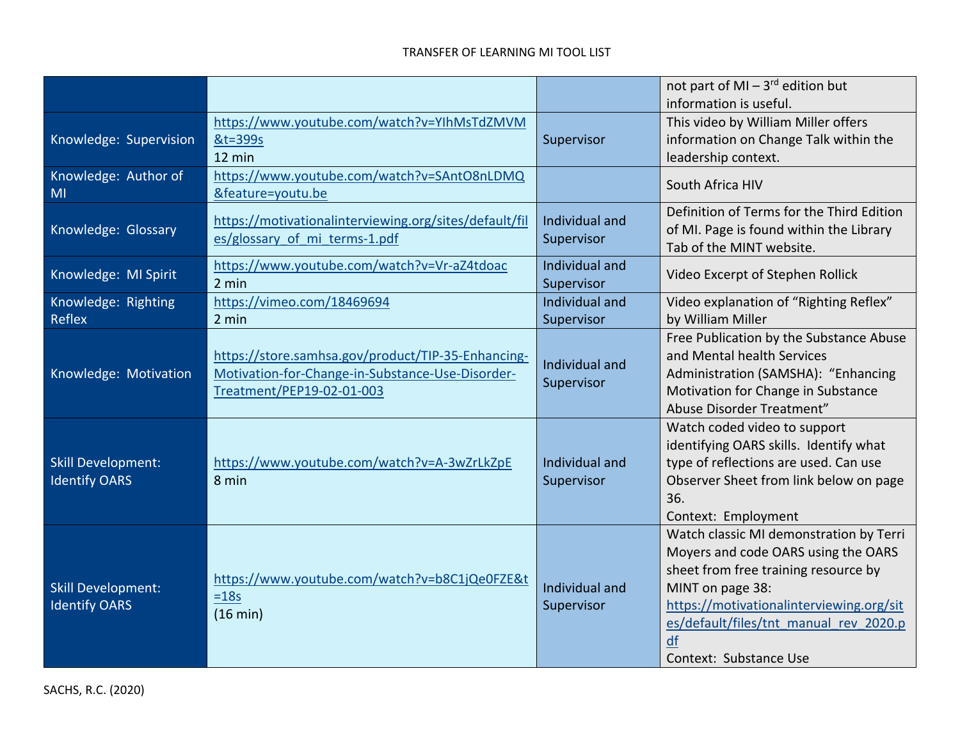|                                                   |                                                                     |                              | not part of MI $-3$ <sup>rd</sup> edition but                   |
|---------------------------------------------------|---------------------------------------------------------------------|------------------------------|-----------------------------------------------------------------|
|                                                   |                                                                     |                              | information is useful.                                          |
|                                                   | https://www.youtube.com/watch?v=YIhMsTdZMVM                         |                              | This video by William Miller offers                             |
| Knowledge: Supervision                            | &t=399s                                                             | Supervisor                   | information on Change Talk within the                           |
|                                                   | 12 min                                                              |                              | leadership context.                                             |
| Knowledge: Author of                              | https://www.youtube.com/watch?v=SAntO8nLDMQ                         |                              | South Africa HIV                                                |
| MI                                                | &feature=youtu.be                                                   |                              |                                                                 |
|                                                   | https://motivationalinterviewing.org/sites/default/fil              | Individual and               | Definition of Terms for the Third Edition                       |
| Knowledge: Glossary                               | es/glossary of mi terms-1.pdf                                       | Supervisor                   | of MI. Page is found within the Library                         |
|                                                   |                                                                     |                              | Tab of the MINT website.                                        |
| Knowledge: MI Spirit                              | https://www.youtube.com/watch?v=Vr-aZ4tdoac                         | Individual and               | Video Excerpt of Stephen Rollick                                |
|                                                   | 2 min                                                               | Supervisor                   |                                                                 |
| Knowledge: Righting                               | https://vimeo.com/18469694                                          | Individual and               | Video explanation of "Righting Reflex"                          |
| <b>Reflex</b>                                     | 2 min                                                               | Supervisor                   | by William Miller                                               |
|                                                   |                                                                     |                              | Free Publication by the Substance Abuse                         |
|                                                   | https://store.samhsa.gov/product/TIP-35-Enhancing-                  | Individual and               | and Mental health Services                                      |
| Knowledge: Motivation                             | Motivation-for-Change-in-Substance-Use-Disorder-                    | Supervisor                   | Administration (SAMSHA): "Enhancing                             |
|                                                   | Treatment/PEP19-02-01-003                                           |                              | Motivation for Change in Substance<br>Abuse Disorder Treatment" |
|                                                   |                                                                     |                              | Watch coded video to support                                    |
|                                                   |                                                                     |                              | identifying OARS skills. Identify what                          |
| <b>Skill Development:</b>                         | https://www.youtube.com/watch?v=A-3wZrLkZpE                         | Individual and               | type of reflections are used. Can use                           |
| <b>Identify OARS</b>                              | 8 min                                                               | Supervisor                   | Observer Sheet from link below on page                          |
|                                                   |                                                                     |                              | 36.                                                             |
|                                                   |                                                                     |                              | Context: Employment                                             |
|                                                   |                                                                     |                              | Watch classic MI demonstration by Terri                         |
| <b>Skill Development:</b><br><b>Identify OARS</b> | https://www.youtube.com/watch?v=b8C1jQe0FZE&t<br>$=18s$<br>(16 min) | Individual and<br>Supervisor | Moyers and code OARS using the OARS                             |
|                                                   |                                                                     |                              | sheet from free training resource by                            |
|                                                   |                                                                     |                              | MINT on page 38:                                                |
|                                                   |                                                                     |                              | https://motivationalinterviewing.org/sit                        |
|                                                   |                                                                     |                              | es/default/files/tnt manual rev 2020.p                          |
|                                                   |                                                                     |                              | df                                                              |
|                                                   |                                                                     |                              | Context: Substance Use                                          |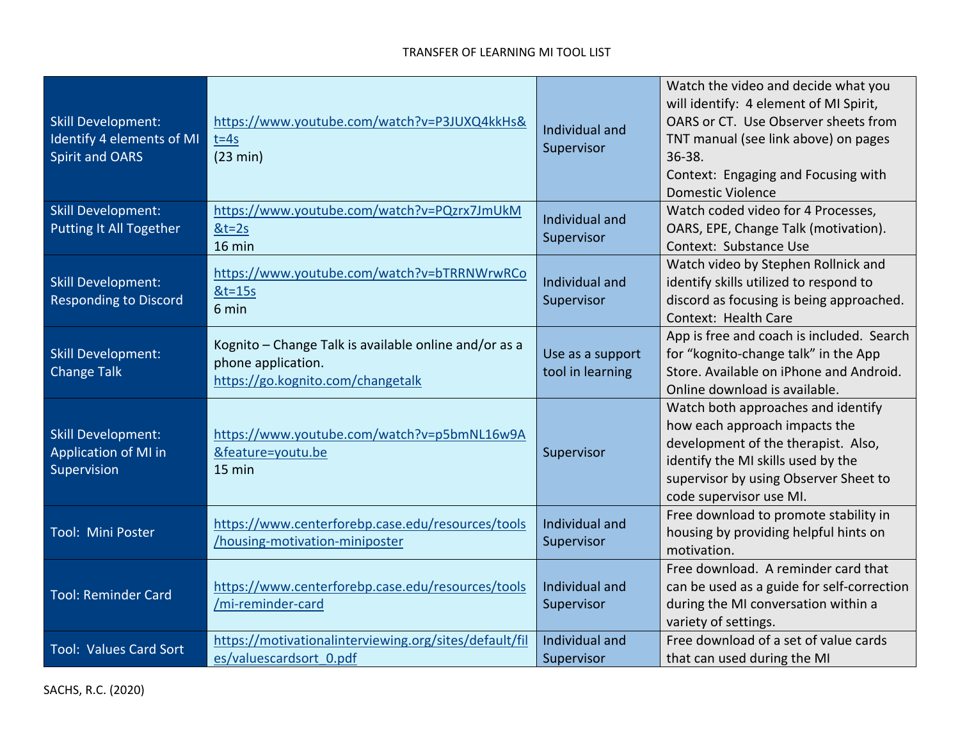| <b>Skill Development:</b><br>Identify 4 elements of MI<br><b>Spirit and OARS</b> | https://www.youtube.com/watch?v=P3JUXQ4kkHs&<br>$t = 4s$<br>(23 min)                                             | Individual and<br>Supervisor         | Watch the video and decide what you<br>will identify: 4 element of MI Spirit,<br>OARS or CT. Use Observer sheets from<br>TNT manual (see link above) on pages<br>36-38.<br>Context: Engaging and Focusing with<br><b>Domestic Violence</b> |
|----------------------------------------------------------------------------------|------------------------------------------------------------------------------------------------------------------|--------------------------------------|--------------------------------------------------------------------------------------------------------------------------------------------------------------------------------------------------------------------------------------------|
| <b>Skill Development:</b><br>Putting It All Together                             | https://www.youtube.com/watch?v=PQzrx7JmUkM<br>$8t=2s$<br>16 min                                                 | Individual and<br>Supervisor         | Watch coded video for 4 Processes,<br>OARS, EPE, Change Talk (motivation).<br>Context: Substance Use                                                                                                                                       |
| <b>Skill Development:</b><br><b>Responding to Discord</b>                        | https://www.youtube.com/watch?v=bTRRNWrwRCo<br>$&t=15s$<br>6 min                                                 | Individual and<br>Supervisor         | Watch video by Stephen Rollnick and<br>identify skills utilized to respond to<br>discord as focusing is being approached.<br>Context: Health Care                                                                                          |
| <b>Skill Development:</b><br><b>Change Talk</b>                                  | Kognito – Change Talk is available online and/or as a<br>phone application.<br>https://go.kognito.com/changetalk | Use as a support<br>tool in learning | App is free and coach is included. Search<br>for "kognito-change talk" in the App<br>Store. Available on iPhone and Android.<br>Online download is available.                                                                              |
| <b>Skill Development:</b><br>Application of MI in<br>Supervision                 | https://www.youtube.com/watch?v=p5bmNL16w9A<br>&feature=youtu.be<br>15 min                                       | Supervisor                           | Watch both approaches and identify<br>how each approach impacts the<br>development of the therapist. Also,<br>identify the MI skills used by the<br>supervisor by using Observer Sheet to<br>code supervisor use MI.                       |
| Tool: Mini Poster                                                                | https://www.centerforebp.case.edu/resources/tools<br>/housing-motivation-miniposter                              | Individual and<br>Supervisor         | Free download to promote stability in<br>housing by providing helpful hints on<br>motivation.                                                                                                                                              |
| <b>Tool: Reminder Card</b>                                                       | https://www.centerforebp.case.edu/resources/tools<br>/mi-reminder-card                                           | Individual and<br>Supervisor         | Free download. A reminder card that<br>can be used as a guide for self-correction<br>during the MI conversation within a<br>variety of settings.                                                                                           |
| <b>Tool: Values Card Sort</b>                                                    | https://motivationalinterviewing.org/sites/default/fil<br>es/valuescardsort 0.pdf                                | Individual and<br>Supervisor         | Free download of a set of value cards<br>that can used during the MI                                                                                                                                                                       |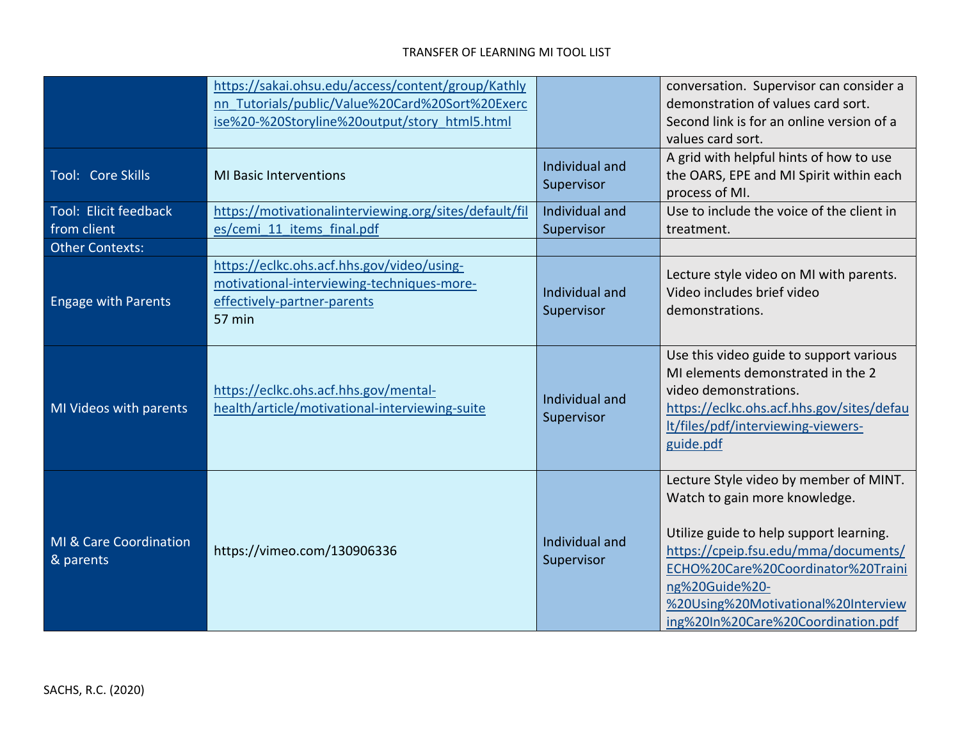| Tool: Core Skills                                              | https://sakai.ohsu.edu/access/content/group/Kathly<br>nn Tutorials/public/Value%20Card%20Sort%20Exerc<br>ise%20-%20Storyline%20output/story html5.html<br><b>MI Basic Interventions</b> | Individual and<br>Supervisor | conversation. Supervisor can consider a<br>demonstration of values card sort.<br>Second link is for an online version of a<br>values card sort.<br>A grid with helpful hints of how to use<br>the OARS, EPE and MI Spirit within each<br>process of MI.                                         |
|----------------------------------------------------------------|-----------------------------------------------------------------------------------------------------------------------------------------------------------------------------------------|------------------------------|-------------------------------------------------------------------------------------------------------------------------------------------------------------------------------------------------------------------------------------------------------------------------------------------------|
| Tool: Elicit feedback<br>from client<br><b>Other Contexts:</b> | https://motivationalinterviewing.org/sites/default/fil<br>es/cemi 11 items final.pdf                                                                                                    | Individual and<br>Supervisor | Use to include the voice of the client in<br>treatment.                                                                                                                                                                                                                                         |
| <b>Engage with Parents</b>                                     | https://eclkc.ohs.acf.hhs.gov/video/using-<br>motivational-interviewing-techniques-more-<br>effectively-partner-parents<br>57 min                                                       | Individual and<br>Supervisor | Lecture style video on MI with parents.<br>Video includes brief video<br>demonstrations.                                                                                                                                                                                                        |
| MI Videos with parents                                         | https://eclkc.ohs.acf.hhs.gov/mental-<br>health/article/motivational-interviewing-suite                                                                                                 | Individual and<br>Supervisor | Use this video guide to support various<br>MI elements demonstrated in the 2<br>video demonstrations.<br>https://eclkc.ohs.acf.hhs.gov/sites/defau<br>It/files/pdf/interviewing-viewers-<br>guide.pdf                                                                                           |
| MI & Care Coordination<br>& parents                            | https://vimeo.com/130906336                                                                                                                                                             | Individual and<br>Supervisor | Lecture Style video by member of MINT.<br>Watch to gain more knowledge.<br>Utilize guide to help support learning.<br>https://cpeip.fsu.edu/mma/documents/<br>ECHO%20Care%20Coordinator%20Traini<br>ng%20Guide%20-<br>%20Using%20Motivational%20Interview<br>ing%20In%20Care%20Coordination.pdf |